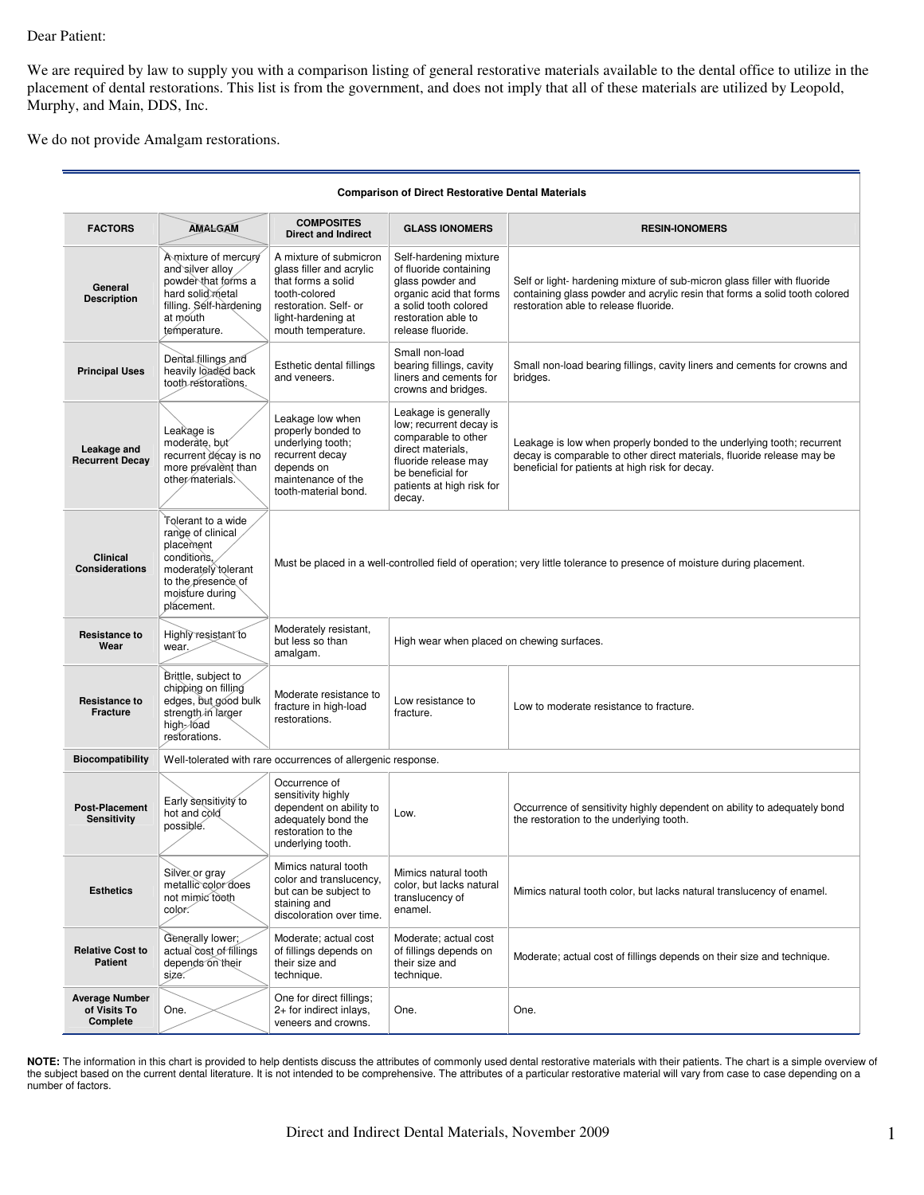## Dear Patient:

We are required by law to supply you with a comparison listing of general restorative materials available to the dental office to utilize in the placement of dental restorations. This list is from the government, and does not imply that all of these materials are utilized by Leopold, Murphy, and Main, DDS, Inc.

We do not provide Amalgam restorations.

| <b>Comparison of Direct Restorative Dental Materials</b> |                                                                                                                                                   |                                                                                                                                                                |                                                                                                                                                                                 |                                                                                                                                                                                                     |  |  |  |
|----------------------------------------------------------|---------------------------------------------------------------------------------------------------------------------------------------------------|----------------------------------------------------------------------------------------------------------------------------------------------------------------|---------------------------------------------------------------------------------------------------------------------------------------------------------------------------------|-----------------------------------------------------------------------------------------------------------------------------------------------------------------------------------------------------|--|--|--|
| <b>FACTORS</b>                                           | <b>AMALGAM</b>                                                                                                                                    | <b>COMPOSITES</b><br><b>Direct and Indirect</b>                                                                                                                | <b>GLASS IONOMERS</b>                                                                                                                                                           | <b>RESIN-IONOMERS</b>                                                                                                                                                                               |  |  |  |
| General<br><b>Description</b>                            | A mixture of mercury<br>and silver alloy<br>powder that forms a<br>hard solid metal<br>filling. Self-hardening<br>at mouth<br>temperature.        | A mixture of submicron<br>glass filler and acrylic<br>that forms a solid<br>tooth-colored<br>restoration. Self- or<br>light-hardening at<br>mouth temperature. | Self-hardening mixture<br>of fluoride containing<br>glass powder and<br>organic acid that forms<br>a solid tooth colored<br>restoration able to<br>release fluoride.            | Self or light- hardening mixture of sub-micron glass filler with fluoride<br>containing glass powder and acrylic resin that forms a solid tooth colored<br>restoration able to release fluoride.    |  |  |  |
| <b>Principal Uses</b>                                    | Dental fillings and<br>heavily loaded back<br>tooth restorations.                                                                                 | Esthetic dental fillings<br>and veneers.                                                                                                                       | Small non-load<br>bearing fillings, cavity<br>liners and cements for<br>crowns and bridges.                                                                                     | Small non-load bearing fillings, cavity liners and cements for crowns and<br>bridges.                                                                                                               |  |  |  |
| Leakage and<br><b>Recurrent Decay</b>                    | Leakage is<br>moderate, but<br>recurrent décay is no<br>more prevalent than<br>other materials.                                                   | Leakage low when<br>properly bonded to<br>underlying tooth;<br>recurrent decay<br>depends on<br>maintenance of the<br>tooth-material bond.                     | Leakage is generally<br>low; recurrent decay is<br>comparable to other<br>direct materials,<br>fluoride release may<br>be beneficial for<br>patients at high risk for<br>decay. | Leakage is low when properly bonded to the underlying tooth; recurrent<br>decay is comparable to other direct materials, fluoride release may be<br>beneficial for patients at high risk for decay. |  |  |  |
| Clinical<br><b>Considerations</b>                        | Tolerant to a wide<br>range of clinical<br>placement<br>conditions,<br>moderately tolerant<br>to the presence of<br>moisture during<br>plácement. | Must be placed in a well-controlled field of operation; very little tolerance to presence of moisture during placement.                                        |                                                                                                                                                                                 |                                                                                                                                                                                                     |  |  |  |
| <b>Resistance to</b><br>Wear                             | Highly resistant to<br>wear.                                                                                                                      | Moderately resistant,<br>but less so than<br>High wear when placed on chewing surfaces.<br>amalgam.                                                            |                                                                                                                                                                                 |                                                                                                                                                                                                     |  |  |  |
| <b>Resistance to</b><br><b>Fracture</b>                  | Brittle, subject to<br>chipping on filling<br>edges, but good bulk<br>strength in larger<br>high-/oad<br>restorations.                            | Moderate resistance to<br>fracture in high-load<br>restorations.                                                                                               | Low resistance to<br>fracture.                                                                                                                                                  | Low to moderate resistance to fracture.                                                                                                                                                             |  |  |  |
| <b>Biocompatibility</b>                                  |                                                                                                                                                   | Well-tolerated with rare occurrences of allergenic response.                                                                                                   |                                                                                                                                                                                 |                                                                                                                                                                                                     |  |  |  |
| <b>Post-Placement</b><br><b>Sensitivity</b>              | Early sensitivity to<br>hot and cold<br>possible.                                                                                                 | Occurrence of<br>sensitivity highly<br>dependent on ability to<br>adequately bond the<br>restoration to the<br>underlying tooth.                               | Low.                                                                                                                                                                            | Occurrence of sensitivity highly dependent on ability to adequately bond<br>the restoration to the underlying tooth.                                                                                |  |  |  |
| <b>Esthetics</b>                                         | Silver or gray<br>metallic color does<br>not mimic tooth<br>color.                                                                                | Mimics natural tooth<br>color and translucency,<br>but can be subject to<br>staining and<br>discoloration over time.                                           | Mimics natural tooth<br>color, but lacks natural<br>translucency of<br>enamel.                                                                                                  | Mimics natural tooth color, but lacks natural translucency of enamel.                                                                                                                               |  |  |  |
| <b>Relative Cost to</b><br><b>Patient</b>                | Generally lower;<br>actual cost of fillings<br>depends on their<br>size.                                                                          | Moderate; actual cost<br>of fillings depends on<br>their size and<br>technique.                                                                                | Moderate; actual cost<br>of fillings depends on<br>their size and<br>technique.                                                                                                 | Moderate; actual cost of fillings depends on their size and technique.                                                                                                                              |  |  |  |
| <b>Average Number</b><br>of Visits To<br>Complete        | One.                                                                                                                                              | One for direct fillings;<br>2+ for indirect inlays,<br>veneers and crowns.                                                                                     | One.                                                                                                                                                                            | One.                                                                                                                                                                                                |  |  |  |

**NOTE:** The information in this chart is provided to help dentists discuss the attributes of commonly used dental restorative materials with their patients. The chart is a simple overview of the subject based on the current dental literature. It is not intended to be comprehensive. The attributes of a particular restorative material will vary from case to case depending on a number of factors.